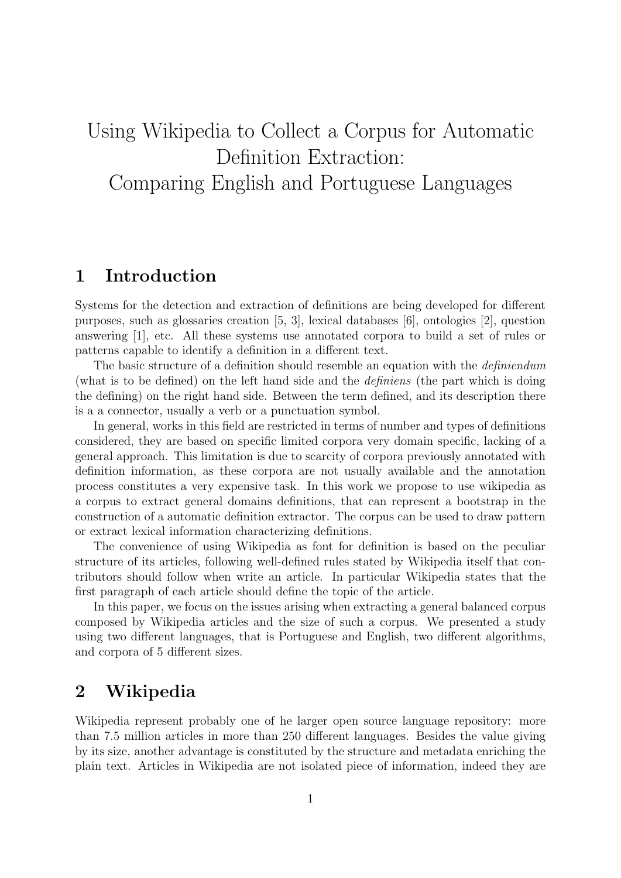# Using Wikipedia to Collect a Corpus for Automatic Definition Extraction: Comparing English and Portuguese Languages

### 1 Introduction

Systems for the detection and extraction of definitions are being developed for different purposes, such as glossaries creation [5, 3], lexical databases [6], ontologies [2], question answering [1], etc. All these systems use annotated corpora to build a set of rules or patterns capable to identify a definition in a different text.

The basic structure of a definition should resemble an equation with the *definiendum* (what is to be defined) on the left hand side and the definiens (the part which is doing the defining) on the right hand side. Between the term defined, and its description there is a a connector, usually a verb or a punctuation symbol.

In general, works in this field are restricted in terms of number and types of definitions considered, they are based on specific limited corpora very domain specific, lacking of a general approach. This limitation is due to scarcity of corpora previously annotated with definition information, as these corpora are not usually available and the annotation process constitutes a very expensive task. In this work we propose to use wikipedia as a corpus to extract general domains definitions, that can represent a bootstrap in the construction of a automatic definition extractor. The corpus can be used to draw pattern or extract lexical information characterizing definitions.

The convenience of using Wikipedia as font for definition is based on the peculiar structure of its articles, following well-defined rules stated by Wikipedia itself that contributors should follow when write an article. In particular Wikipedia states that the first paragraph of each article should define the topic of the article.

In this paper, we focus on the issues arising when extracting a general balanced corpus composed by Wikipedia articles and the size of such a corpus. We presented a study using two different languages, that is Portuguese and English, two different algorithms, and corpora of 5 different sizes.

## 2 Wikipedia

Wikipedia represent probably one of he larger open source language repository: more than 7.5 million articles in more than 250 different languages. Besides the value giving by its size, another advantage is constituted by the structure and metadata enriching the plain text. Articles in Wikipedia are not isolated piece of information, indeed they are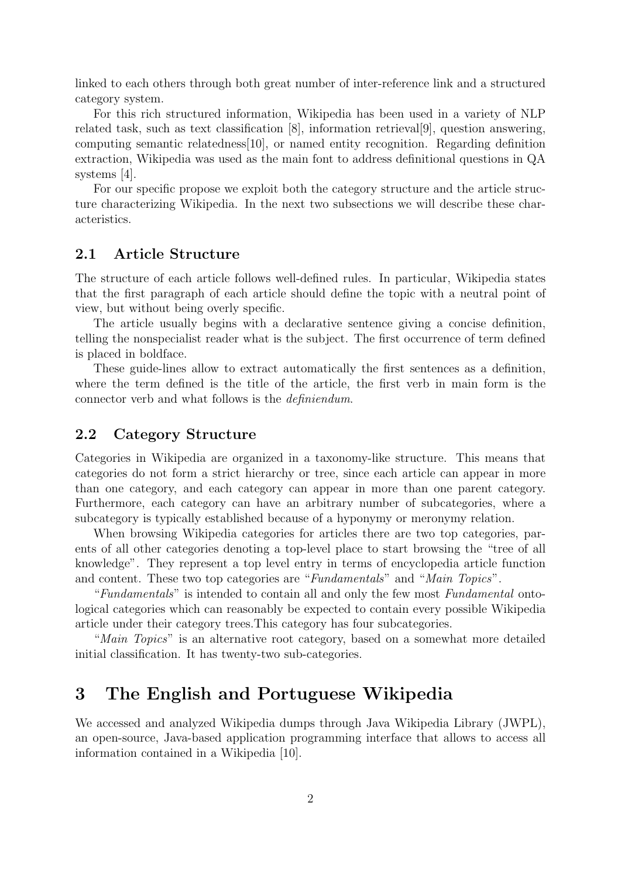linked to each others through both great number of inter-reference link and a structured category system.

For this rich structured information, Wikipedia has been used in a variety of NLP related task, such as text classification [8], information retrieval[9], question answering, computing semantic relatedness[10], or named entity recognition. Regarding definition extraction, Wikipedia was used as the main font to address definitional questions in QA systems [4].

For our specific propose we exploit both the category structure and the article structure characterizing Wikipedia. In the next two subsections we will describe these characteristics.

### 2.1 Article Structure

The structure of each article follows well-defined rules. In particular, Wikipedia states that the first paragraph of each article should define the topic with a neutral point of view, but without being overly specific.

The article usually begins with a declarative sentence giving a concise definition, telling the nonspecialist reader what is the subject. The first occurrence of term defined is placed in boldface.

These guide-lines allow to extract automatically the first sentences as a definition, where the term defined is the title of the article, the first verb in main form is the connector verb and what follows is the definiendum.

### 2.2 Category Structure

Categories in Wikipedia are organized in a taxonomy-like structure. This means that categories do not form a strict hierarchy or tree, since each article can appear in more than one category, and each category can appear in more than one parent category. Furthermore, each category can have an arbitrary number of subcategories, where a subcategory is typically established because of a hyponymy or meronymy relation.

When browsing Wikipedia categories for articles there are two top categories, parents of all other categories denoting a top-level place to start browsing the "tree of all knowledge". They represent a top level entry in terms of encyclopedia article function and content. These two top categories are "Fundamentals" and "Main Topics".

"Fundamentals" is intended to contain all and only the few most Fundamental ontological categories which can reasonably be expected to contain every possible Wikipedia article under their category trees.This category has four subcategories.

"Main Topics" is an alternative root category, based on a somewhat more detailed initial classification. It has twenty-two sub-categories.

### 3 The English and Portuguese Wikipedia

We accessed and analyzed Wikipedia dumps through Java Wikipedia Library (JWPL), an open-source, Java-based application programming interface that allows to access all information contained in a Wikipedia [10].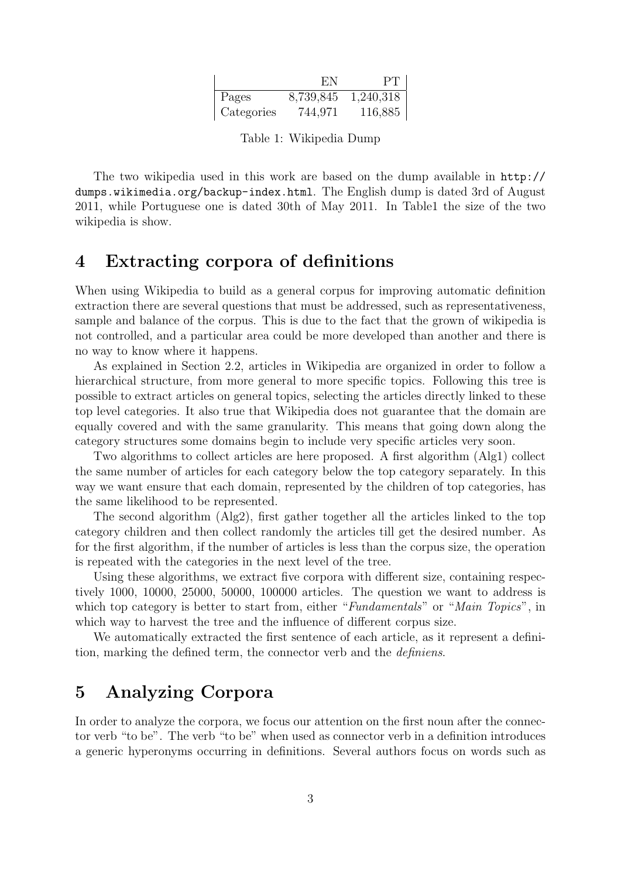|            | EN.       | PT        |
|------------|-----------|-----------|
| Pages      | 8,739,845 | 1,240,318 |
| Categories | 744,971   | 116,885   |

Table 1: Wikipedia Dump

The two wikipedia used in this work are based on the dump available in http:// dumps.wikimedia.org/backup-index.html. The English dump is dated 3rd of August 2011, while Portuguese one is dated 30th of May 2011. In Table1 the size of the two wikipedia is show.

### 4 Extracting corpora of definitions

When using Wikipedia to build as a general corpus for improving automatic definition extraction there are several questions that must be addressed, such as representativeness, sample and balance of the corpus. This is due to the fact that the grown of wikipedia is not controlled, and a particular area could be more developed than another and there is no way to know where it happens.

As explained in Section 2.2, articles in Wikipedia are organized in order to follow a hierarchical structure, from more general to more specific topics. Following this tree is possible to extract articles on general topics, selecting the articles directly linked to these top level categories. It also true that Wikipedia does not guarantee that the domain are equally covered and with the same granularity. This means that going down along the category structures some domains begin to include very specific articles very soon.

Two algorithms to collect articles are here proposed. A first algorithm (Alg1) collect the same number of articles for each category below the top category separately. In this way we want ensure that each domain, represented by the children of top categories, has the same likelihood to be represented.

The second algorithm (Alg2), first gather together all the articles linked to the top category children and then collect randomly the articles till get the desired number. As for the first algorithm, if the number of articles is less than the corpus size, the operation is repeated with the categories in the next level of the tree.

Using these algorithms, we extract five corpora with different size, containing respectively 1000, 10000, 25000, 50000, 100000 articles. The question we want to address is which top category is better to start from, either "Fundamentals" or "Main Topics", in which way to harvest the tree and the influence of different corpus size.

We automatically extracted the first sentence of each article, as it represent a definition, marking the defined term, the connector verb and the definiens.

# 5 Analyzing Corpora

In order to analyze the corpora, we focus our attention on the first noun after the connector verb "to be". The verb "to be" when used as connector verb in a definition introduces a generic hyperonyms occurring in definitions. Several authors focus on words such as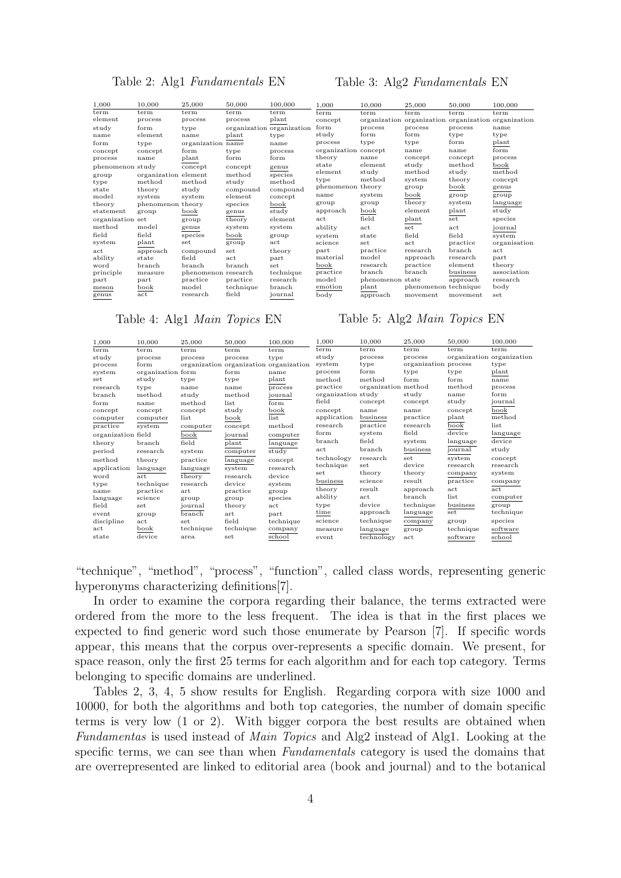#### Table 2: Alg1 Fundamentals EN

#### Table 3: Alg2 Fundamentals EN

| 1,000            | 10,000               | 25,000              | 50,000    | 100,000                   | 1,000                | 10,000           | 25,000               | 50,000                                              | 100,000           |
|------------------|----------------------|---------------------|-----------|---------------------------|----------------------|------------------|----------------------|-----------------------------------------------------|-------------------|
| term             | term                 | term                | term      | term                      | term                 | term             | term                 | term                                                | term              |
| element          | process              | process             | process   | plant                     | concept              |                  |                      | organization organization organization organization |                   |
| study            | form                 | type                |           | organization organization | form                 | process          | process              | process                                             | name              |
| name             | element              | name                | plant     | type                      | study                | form             | form                 | type                                                | type              |
| form             | type                 | organization name   |           | name                      | process              | type             | type                 | form                                                | plant             |
| concept          | concept              | form                | type      | process                   | organization concept |                  | name                 | name                                                | form              |
| process          | name                 | plant               | form      | form                      | theory               | name             | concept              | concept                                             | process           |
| phenomenon study |                      | concept             | concept   | genus                     | state                | element          | study                | method                                              | book              |
| group            | organization element |                     | method    | species                   | element<br>type      | study<br>method  | method<br>system     | study<br>theory                                     | method<br>concept |
| type             | method               | method              | study     | method                    | phenomenon theory    |                  | group                | book                                                | genus             |
| state            | theory               | study               | compound  | compound                  |                      |                  |                      |                                                     |                   |
| model            | system               | system              | element   | concept                   | name                 | system           | book                 | group                                               | group             |
| theory           | phenomenon theory    |                     | species   | book                      | group                | group            | theory               | system                                              | language          |
| statement        | group                | book                | genus     | study                     | approach             | book             | element              | plant                                               | study             |
| organization set |                      | group               | theory    | element                   | act                  | field            | plant                | set                                                 | species           |
| method           | model                | genus               | system    | system                    | ability              | act              | set                  | act                                                 | journal           |
| field            | field                | species             | book      | group                     | system               | state            | field                | field                                               | system            |
| system           | plant                | set                 | group     | act                       | science              | set              | act                  | practice                                            | organisation      |
| act              | approach             | compound            | set       | theory                    | part                 | practice         | research             | branch                                              | act               |
| ability          | state                | field               | act       | part                      | material             | model            | approach             | research                                            | part              |
| word             | branch               | branch              | branch    | set                       | book                 | research         | practice             | element                                             | theory            |
| principle        | measure              | phenomenon research |           | technique                 | practice             | branch           | branch               | business                                            | association       |
| part             | part                 | practice            | practice  | research                  | model                | phenomenon state |                      | approach                                            | research          |
| meson            | book                 | model               | technique | branch                    | emotion              | plant            | phenomenon technique |                                                     | body              |
| genus            | act                  | research            | field     | journal                   | body                 | approach         | movement             | movement                                            | set               |

#### Table 4: Alg1 Main Topics EN

### Table 5: Alg2 Main Topics EN

| 1,000              | 10,000            | 25,000    | 50,000                                 | 100,000   | 1,000              | 10,000              | 25,000               | 50,000    | 100,000                   |
|--------------------|-------------------|-----------|----------------------------------------|-----------|--------------------|---------------------|----------------------|-----------|---------------------------|
| term               | term              | term      | term                                   | term      | term               | term                | term                 | term      | term                      |
| study              | process           | process   | process                                | type      | study              | process             | process              |           | organization organization |
| process            | form              |           | organization organization organization |           | system             | type                | organization process |           | type                      |
| system             | organization form |           | form                                   | name      | process            | form                | type                 | type      | plant                     |
| set                | study             | type      | type                                   | plant     | method             | method              | form                 | form      | name                      |
| research           | type              | name      | name                                   | process   | practice           | organization method |                      | method    | process                   |
| branch             | method            | study     | method                                 | journal   | organization study |                     | study                | name      | form                      |
| form               | name              | method    | list.                                  | form      | field              | concept             | concept              | study     | journal                   |
| concept            | concept           | concept   | study                                  | book      | concept            | name                | name                 | concept   | book                      |
| computer           | computer          | list      | book                                   | list      | application        | business            | practice             | plant     | method                    |
| practice           | system            | computer  | concept                                | method    | research           | practice            | research             | book      | list                      |
| organization field |                   | book      | journal                                | computer  | form               | system              | field                | device    | language                  |
| theory             | branch            | field     | plant                                  | language  | branch             | field               | system               | language  | device                    |
| period             | research          | system    | computer                               | study     | act                | branch              | business             | iournal   | study                     |
| method             | theory            | practice  | language                               | concept   | technology         | research            | set                  | system    | concept                   |
| application        | language          | language  | system                                 | research  | technique          | set                 | device               | research  | research                  |
| word               | art               | theory    | research                               | device    | set                | theory              | theory               | company   | system                    |
| type               | technique         | research  | device                                 | system    | business           | science             | result               | practice  | company                   |
| name               | practice          | art       | practice                               | group     | theory             | result              | approach             | act       | act                       |
| language           | science           | group     | group                                  | species   | ability            | act                 | branch               | list      | computer                  |
| field              | set               | journal   | theory                                 | act       | type               | device              | technique            | business  | group                     |
| event              | group             | branch    | art                                    | part      | time               | approach            | language             | set       | technique                 |
| discipline         | act               | set       | field                                  | technique | science            | technique           | company              | group     | species                   |
| act                | book              | technique | technique                              | company   | measure            | language            | group                | technique | software                  |
| state              | device            | area      | set                                    | school    | event              | technology          | act                  | software  | school                    |

"technique", "method", "process", "function", called class words, representing generic hyperonyms characterizing definitions [7].

In order to examine the corpora regarding their balance, the terms extracted were ordered from the more to the less frequent. The idea is that in the first places we expected to find generic word such those enumerate by Pearson [7]. If specific words appear, this means that the corpus over-represents a specific domain. We present, for space reason, only the first 25 terms for each algorithm and for each top category. Terms belonging to specific domains are underlined.

Tables 2, 3, 4, 5 show results for English. Regarding corpora with size 1000 and 10000, for both the algorithms and both top categories, the number of domain specific terms is very low (1 or 2). With bigger corpora the best results are obtained when Fundamentas is used instead of Main Topics and Alg2 instead of Alg1. Looking at the specific terms, we can see than when Fundamentals category is used the domains that are overrepresented are linked to editorial area (book and journal) and to the botanical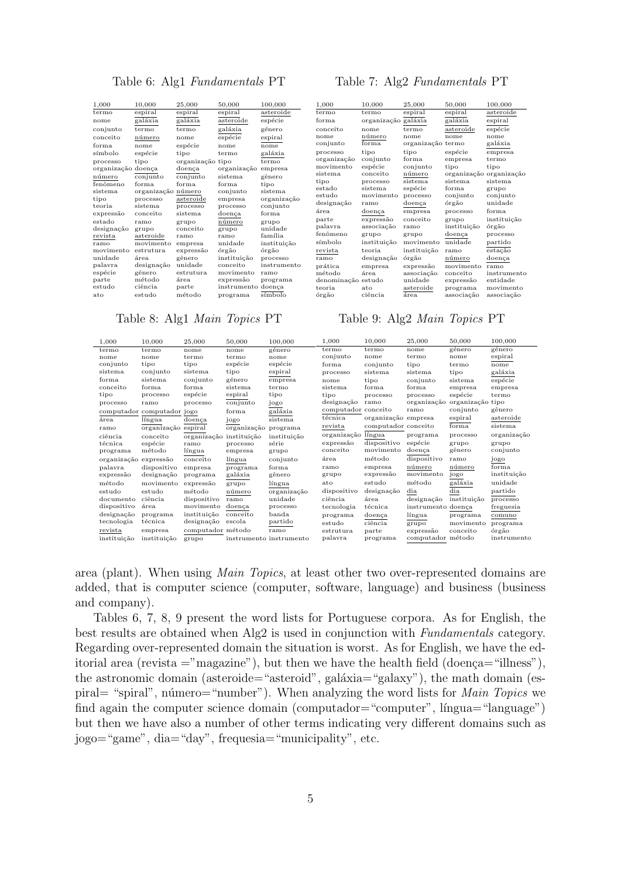#### Table 6: Alg1 Fundamentals PT

| 10,000<br>50,000<br>1,000<br>25,000<br>espiral<br>espiral<br>espiral<br>termo<br>galáxia<br>galáxia<br>asteroide<br>nome<br>galáxia<br>conjunto<br>termo<br>termo<br>espécie<br>conceito<br>número<br>nome<br>espécie<br>forma<br>nome<br>nome<br>símbolo<br>espécie<br>tipo<br>termo<br>organização<br>tipo<br>tipo<br>processo<br>organização<br>organização<br>doença<br>doença<br>conjunto<br>conjunto<br>sistema<br>número<br>fenômeno<br>forma.<br>forma.<br>forma<br>sistema<br>organização número<br>conjunto<br>asteroide<br>processo<br>tipo<br>empresa<br>teoria<br>sistema<br>processo<br>processo<br>conceito<br>sistema<br>expressão<br>doença<br>número<br>estado<br>grupo<br>ramo<br>designação<br>conceito<br>grupo<br>grupo<br>revista<br>asteroide<br>ramo<br>ramo<br>movimento<br>unidade<br>ramo<br>empresa<br>movimento<br>órgão<br>estrutura<br>expressão<br>instituição<br>unidade<br>gênero<br>área<br>unidade<br>conceito<br>designação<br>palavra<br>espécie<br>gênero<br>movimento<br>estrutura<br>método<br>parte<br>expressão<br>área<br>estudo<br>ciência<br>instrumento<br>parte |  |  |             |
|------------------------------------------------------------------------------------------------------------------------------------------------------------------------------------------------------------------------------------------------------------------------------------------------------------------------------------------------------------------------------------------------------------------------------------------------------------------------------------------------------------------------------------------------------------------------------------------------------------------------------------------------------------------------------------------------------------------------------------------------------------------------------------------------------------------------------------------------------------------------------------------------------------------------------------------------------------------------------------------------------------------------------------------------------------------------------------------------------------------|--|--|-------------|
|                                                                                                                                                                                                                                                                                                                                                                                                                                                                                                                                                                                                                                                                                                                                                                                                                                                                                                                                                                                                                                                                                                                  |  |  | 100,000     |
|                                                                                                                                                                                                                                                                                                                                                                                                                                                                                                                                                                                                                                                                                                                                                                                                                                                                                                                                                                                                                                                                                                                  |  |  | asteroide   |
|                                                                                                                                                                                                                                                                                                                                                                                                                                                                                                                                                                                                                                                                                                                                                                                                                                                                                                                                                                                                                                                                                                                  |  |  | espécie     |
|                                                                                                                                                                                                                                                                                                                                                                                                                                                                                                                                                                                                                                                                                                                                                                                                                                                                                                                                                                                                                                                                                                                  |  |  | género      |
|                                                                                                                                                                                                                                                                                                                                                                                                                                                                                                                                                                                                                                                                                                                                                                                                                                                                                                                                                                                                                                                                                                                  |  |  | espiral     |
|                                                                                                                                                                                                                                                                                                                                                                                                                                                                                                                                                                                                                                                                                                                                                                                                                                                                                                                                                                                                                                                                                                                  |  |  | nome        |
|                                                                                                                                                                                                                                                                                                                                                                                                                                                                                                                                                                                                                                                                                                                                                                                                                                                                                                                                                                                                                                                                                                                  |  |  | galáxia     |
|                                                                                                                                                                                                                                                                                                                                                                                                                                                                                                                                                                                                                                                                                                                                                                                                                                                                                                                                                                                                                                                                                                                  |  |  | termo       |
|                                                                                                                                                                                                                                                                                                                                                                                                                                                                                                                                                                                                                                                                                                                                                                                                                                                                                                                                                                                                                                                                                                                  |  |  | empresa     |
|                                                                                                                                                                                                                                                                                                                                                                                                                                                                                                                                                                                                                                                                                                                                                                                                                                                                                                                                                                                                                                                                                                                  |  |  | gênero      |
|                                                                                                                                                                                                                                                                                                                                                                                                                                                                                                                                                                                                                                                                                                                                                                                                                                                                                                                                                                                                                                                                                                                  |  |  | tipo        |
|                                                                                                                                                                                                                                                                                                                                                                                                                                                                                                                                                                                                                                                                                                                                                                                                                                                                                                                                                                                                                                                                                                                  |  |  | sistema     |
|                                                                                                                                                                                                                                                                                                                                                                                                                                                                                                                                                                                                                                                                                                                                                                                                                                                                                                                                                                                                                                                                                                                  |  |  | organização |
|                                                                                                                                                                                                                                                                                                                                                                                                                                                                                                                                                                                                                                                                                                                                                                                                                                                                                                                                                                                                                                                                                                                  |  |  | conjunto    |
|                                                                                                                                                                                                                                                                                                                                                                                                                                                                                                                                                                                                                                                                                                                                                                                                                                                                                                                                                                                                                                                                                                                  |  |  | forma       |
|                                                                                                                                                                                                                                                                                                                                                                                                                                                                                                                                                                                                                                                                                                                                                                                                                                                                                                                                                                                                                                                                                                                  |  |  | grupo       |
|                                                                                                                                                                                                                                                                                                                                                                                                                                                                                                                                                                                                                                                                                                                                                                                                                                                                                                                                                                                                                                                                                                                  |  |  | unidade     |
|                                                                                                                                                                                                                                                                                                                                                                                                                                                                                                                                                                                                                                                                                                                                                                                                                                                                                                                                                                                                                                                                                                                  |  |  | família     |
|                                                                                                                                                                                                                                                                                                                                                                                                                                                                                                                                                                                                                                                                                                                                                                                                                                                                                                                                                                                                                                                                                                                  |  |  | instituição |
|                                                                                                                                                                                                                                                                                                                                                                                                                                                                                                                                                                                                                                                                                                                                                                                                                                                                                                                                                                                                                                                                                                                  |  |  | órgão       |
|                                                                                                                                                                                                                                                                                                                                                                                                                                                                                                                                                                                                                                                                                                                                                                                                                                                                                                                                                                                                                                                                                                                  |  |  | processo    |
|                                                                                                                                                                                                                                                                                                                                                                                                                                                                                                                                                                                                                                                                                                                                                                                                                                                                                                                                                                                                                                                                                                                  |  |  | instrumento |
|                                                                                                                                                                                                                                                                                                                                                                                                                                                                                                                                                                                                                                                                                                                                                                                                                                                                                                                                                                                                                                                                                                                  |  |  | ramo        |
|                                                                                                                                                                                                                                                                                                                                                                                                                                                                                                                                                                                                                                                                                                                                                                                                                                                                                                                                                                                                                                                                                                                  |  |  | programa    |
|                                                                                                                                                                                                                                                                                                                                                                                                                                                                                                                                                                                                                                                                                                                                                                                                                                                                                                                                                                                                                                                                                                                  |  |  | doença      |
| estudo<br>método<br>ato<br>programa                                                                                                                                                                                                                                                                                                                                                                                                                                                                                                                                                                                                                                                                                                                                                                                                                                                                                                                                                                                                                                                                              |  |  | símbolo     |

#### Table 8: Alg1 Main Topics PT

#### Table 7: Alg2 Fundamentals PT

| 1,000              | 10,000              | 25,000            | 50,000      | 100,000     |
|--------------------|---------------------|-------------------|-------------|-------------|
| termo              | termo               | espiral           | espiral     | asteroide   |
| forma              | organização galáxia |                   | galáxia     | espiral     |
| conceito           | nome                | termo             | asteroide   | espécie     |
| nome               | número              | nome              | nome        | nome        |
| conjunto           | $_{\rm forma}$      | organização termo |             | galáxia     |
| processo           | tipo                | tipo              | espécie     | empresa     |
| organização        | conjunto            | forma             | empresa     | termo       |
| movimento          | espécie             | conjunto          | tipo        | tipo        |
| sistema            | conceito            | número            | organização | organização |
| tipo               | processo            | sistema           | sistema     | sistema     |
| estado             | sistema             | espécie           | forma       | grupo       |
| estudo             | movimento           | processo          | conjunto    | conjunto    |
| designação         | ramo                | doença            | órgão       | unidade     |
| área               | doença              | empresa           | processo    | forma       |
| parte              | expressão           | conceito          | grupo       | instituição |
| palavra            | associação          | ramo              | instituição | órgão       |
| fenômeno           | grupo               | grupo             | doença      | processo    |
| símbolo            | instituição         | movimento         | unidade     | partido     |
| revista            | teoria              | instituição       | ramo        | estação     |
| ramo               | designação          | órgão             | número      | doença      |
| prática            | empresa             | expressão         | movimento   | ramo        |
| método             | área                | associação        | conceito    | instrumento |
| denominação estudo |                     | unidade           | expressão   | entidade    |
| teoria             | ato                 | asteroide         | programa    | movimento   |
| órgão              | ciência             | área              | associação  | associação  |
|                    |                     |                   |             |             |

#### Table 9: Alg2 Main Topics PT

| 1,000                 | 10,000                     | 25,000                  | 50,000      | 100,000                 | 1.000               | 10,000              | 25,000             | 50,000      | 100,000     |
|-----------------------|----------------------------|-------------------------|-------------|-------------------------|---------------------|---------------------|--------------------|-------------|-------------|
| termo                 | termo                      | nome                    | nome        | género                  | termo               | termo               | nome               | género      | género      |
| nome                  | nome                       | termo                   | termo       | nome                    | conjunto            | nome                | termo              | nome        | espiral     |
| conjunto              | tipo                       | tipo                    | espécie     | espécie                 | forma               | conjunto            | tipo               | termo       | nome        |
| sistema               | conjunto                   | sistema                 | tipo        | espiral                 | processo            | sistema             | sistema            | tipo        | galáxia     |
| forma                 | sistema                    | conjunto                | género      | empresa                 | nome                | tipo                | conjunto           | sistema     | espécie     |
| conceito              | forma                      | forma                   | sistema     | termo                   | sistema             | forma               | forma              | empresa     | empresa     |
| tipo                  | processo                   | espécie                 | espiral     | tipo                    | tipo                | processo            | processo           | espécie     | termo       |
| processo              | ramo                       | processo                | conjunto    | jogo                    | designação          | ramo                | organização        | organização | tipo        |
|                       | computador computador jogo |                         | forma       | galáxia                 | computador conceito |                     | ramo               | conjunto    | gênero      |
| área                  | língua                     | doenca                  | jogo        | sistema                 | técnica             | organização empresa |                    | espiral     | asteroide   |
| ramo                  | organização espiral        |                         | organização | programa                | revista             | computador conceito |                    | forma.      | sistema     |
| ciência               | conceito                   | organização instituição |             | instituição             | organização         | língua              | programa           | processo    | organização |
| técnica               | espécie                    | ramo                    | processo    | série                   | expressão           | dispositivo         | espécie            | grupo       | grupo       |
| programa              | método                     | língua                  | empresa     | grupo                   | conceito            | movimento           | doença             | gênero      | conjunto    |
| organização expressão |                            | conceito                | língua      | conjunto                | área                | método              | dispositivo        | ramo        | jogo        |
| palavra               | dispositivo                | empresa                 | programa    | forma                   | ramo                | empresa             | número             | número      | forma       |
| expressão             | designação                 | programa                | galáxia     | gênero                  | grupo               | expressão           | movimento          | jogo        | instituição |
| método                | movimento                  | expressão               | grupo       | língua                  | ato                 | estudo              | método             | galáxia     | unidade     |
| estudo                | estudo                     | método                  | número      | organização             | dispositivo         | designação          | dia                | dia         | partido     |
| documento             | ciência                    | dispositivo             | ramo        | unidade                 | ciência             | área                | designação         | instituição | processo    |
| dispositivo           | área                       | movimento               | doenca      | processo                | tecnologia          | técnica             | instrumento doença |             | freguesia   |
| designação            | programa                   | instituição             | conceito    | banda                   | programa            | doença              | língua             | programa    | comuno      |
| tecnologia            | técnica                    | designação              | escola      | partido                 | estudo              | ciência             | grupo              | movimento   | programa    |
| revista               | empresa                    | computador método       |             | ramo                    | estrutura           | parte               | expressão          | conceito    | órgão       |
| instituicão           | instituicão                | grupo                   |             | instrumento instrumento | palavra             | programa            | computador método  |             | instrumento |

area (plant). When using Main Topics, at least other two over-represented domains are added, that is computer science (computer, software, language) and business (business and company).

Tables 6, 7, 8, 9 present the word lists for Portuguese corpora. As for English, the best results are obtained when Alg2 is used in conjunction with Fundamentals category. Regarding over-represented domain the situation is worst. As for English, we have the editorial area (revista  $=$ "magazine"), but then we have the health field (doença $=$ "illness"), the astronomic domain (asteroide="asteroid", galáxia="galaxy"), the math domain (espiral= "spiral", número="number"). When analyzing the word lists for *Main Topics* we find again the computer science domain (computador="computer", língua="language") but then we have also a number of other terms indicating very different domains such as jogo="game", dia="day", frequesia="municipality", etc.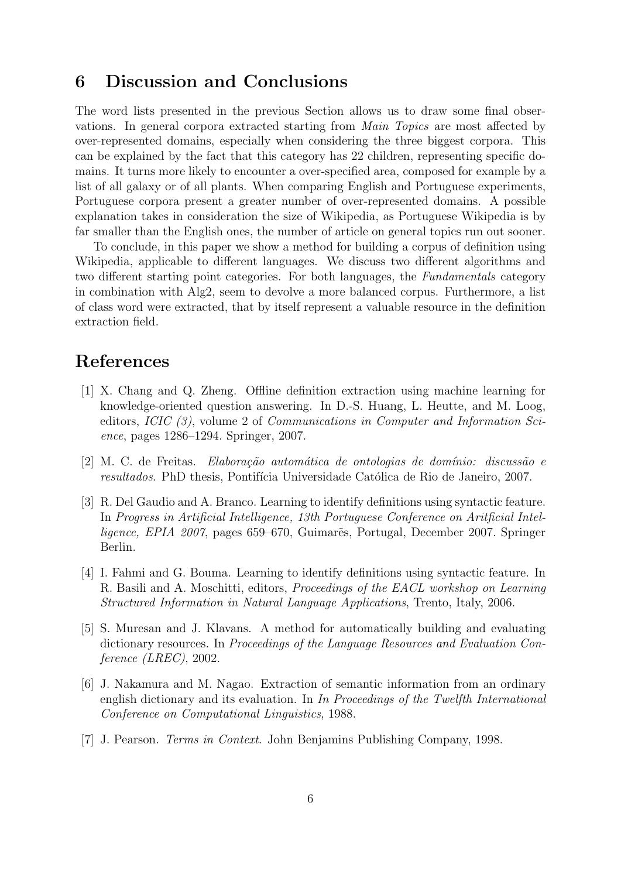## 6 Discussion and Conclusions

The word lists presented in the previous Section allows us to draw some final observations. In general corpora extracted starting from Main Topics are most affected by over-represented domains, especially when considering the three biggest corpora. This can be explained by the fact that this category has 22 children, representing specific domains. It turns more likely to encounter a over-specified area, composed for example by a list of all galaxy or of all plants. When comparing English and Portuguese experiments, Portuguese corpora present a greater number of over-represented domains. A possible explanation takes in consideration the size of Wikipedia, as Portuguese Wikipedia is by far smaller than the English ones, the number of article on general topics run out sooner.

To conclude, in this paper we show a method for building a corpus of definition using Wikipedia, applicable to different languages. We discuss two different algorithms and two different starting point categories. For both languages, the Fundamentals category in combination with Alg2, seem to devolve a more balanced corpus. Furthermore, a list of class word were extracted, that by itself represent a valuable resource in the definition extraction field.

# References

- [1] X. Chang and Q. Zheng. Offline definition extraction using machine learning for knowledge-oriented question answering. In D.-S. Huang, L. Heutte, and M. Loog, editors, ICIC (3), volume 2 of Communications in Computer and Information Science, pages 1286–1294. Springer, 2007.
- $[2]$  M. C. de Freitas. Elaboração automática de ontologias de domínio: discussão e resultados. PhD thesis, Pontifícia Universidade Católica de Rio de Janeiro, 2007.
- [3] R. Del Gaudio and A. Branco. Learning to identify definitions using syntactic feature. In Progress in Artificial Intelligence, 13th Portuguese Conference on Aritficial Intelligence, EPIA 2007, pages 659–670, Guimares, Portugal, December 2007. Springer Berlin.
- [4] I. Fahmi and G. Bouma. Learning to identify definitions using syntactic feature. In R. Basili and A. Moschitti, editors, Proceedings of the EACL workshop on Learning Structured Information in Natural Language Applications, Trento, Italy, 2006.
- [5] S. Muresan and J. Klavans. A method for automatically building and evaluating dictionary resources. In Proceedings of the Language Resources and Evaluation Conference (LREC), 2002.
- [6] J. Nakamura and M. Nagao. Extraction of semantic information from an ordinary english dictionary and its evaluation. In In Proceedings of the Twelfth International Conference on Computational Linguistics, 1988.
- [7] J. Pearson. Terms in Context. John Benjamins Publishing Company, 1998.